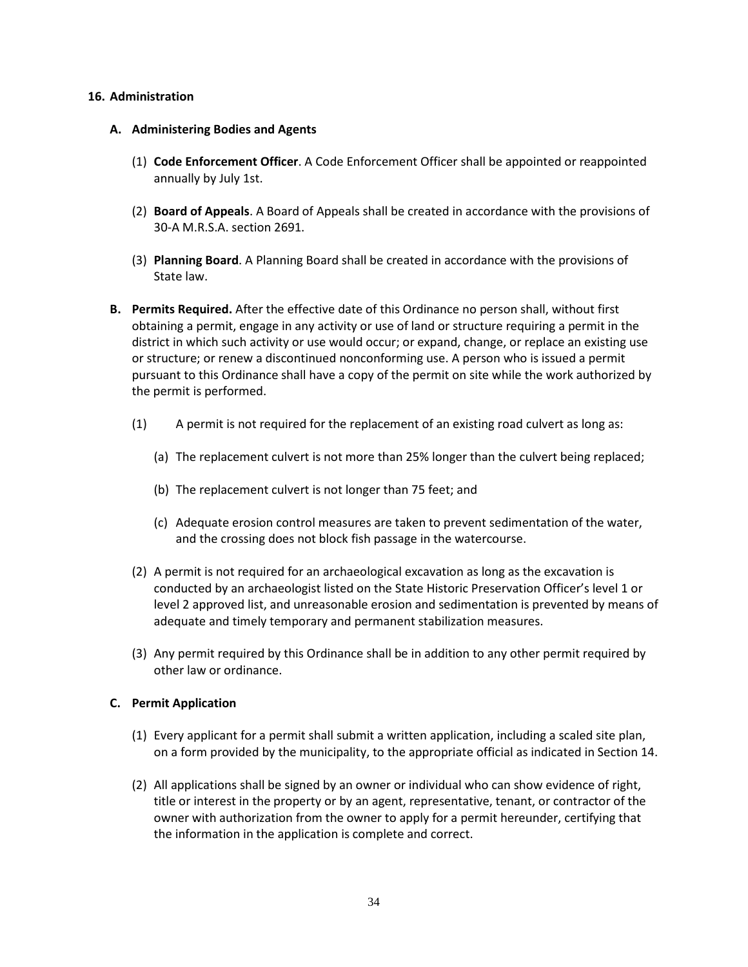### **16. Administration**

- **A. Administering Bodies and Agents** 
	- (1) **Code Enforcement Officer**. A Code Enforcement Officer shall be appointed or reappointed annually by July 1st.
	- (2) **Board of Appeals**. A Board of Appeals shall be created in accordance with the provisions of 30-A M.R.S.A. section 2691.
	- (3) **Planning Board**. A Planning Board shall be created in accordance with the provisions of State law.
- **B. Permits Required.** After the effective date of this Ordinance no person shall, without first obtaining a permit, engage in any activity or use of land or structure requiring a permit in the district in which such activity or use would occur; or expand, change, or replace an existing use or structure; or renew a discontinued nonconforming use. A person who is issued a permit pursuant to this Ordinance shall have a copy of the permit on site while the work authorized by the permit is performed.
	- (1) A permit is not required for the replacement of an existing road culvert as long as:
		- (a) The replacement culvert is not more than 25% longer than the culvert being replaced;
		- (b) The replacement culvert is not longer than 75 feet; and
		- (c) Adequate erosion control measures are taken to prevent sedimentation of the water, and the crossing does not block fish passage in the watercourse.
	- (2) A permit is not required for an archaeological excavation as long as the excavation is conducted by an archaeologist listed on the State Historic Preservation Officer's level 1 or level 2 approved list, and unreasonable erosion and sedimentation is prevented by means of adequate and timely temporary and permanent stabilization measures.
	- (3) Any permit required by this Ordinance shall be in addition to any other permit required by other law or ordinance.

# **C. Permit Application**

- (1) Every applicant for a permit shall submit a written application, including a scaled site plan, on a form provided by the municipality, to the appropriate official as indicated in Section 14.
- (2) All applications shall be signed by an owner or individual who can show evidence of right, title or interest in the property or by an agent, representative, tenant, or contractor of the owner with authorization from the owner to apply for a permit hereunder, certifying that the information in the application is complete and correct.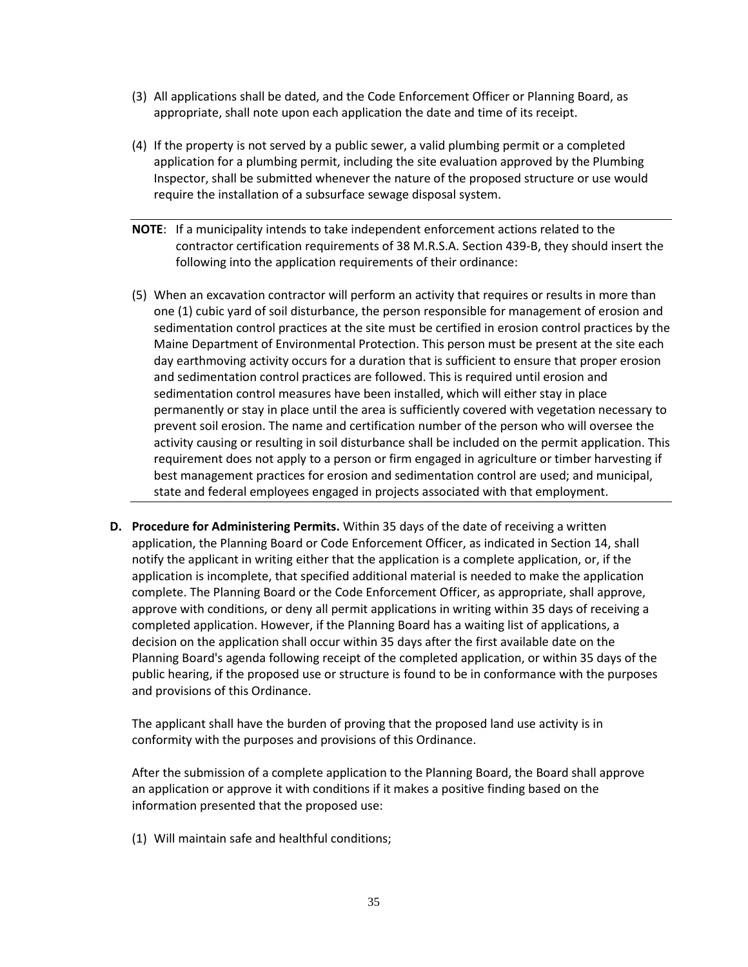- (3) All applications shall be dated, and the Code Enforcement Officer or Planning Board, as appropriate, shall note upon each application the date and time of its receipt.
- (4) If the property is not served by a public sewer, a valid plumbing permit or a completed application for a plumbing permit, including the site evaluation approved by the Plumbing Inspector, shall be submitted whenever the nature of the proposed structure or use would require the installation of a subsurface sewage disposal system.
- **NOTE**: If a municipality intends to take independent enforcement actions related to the contractor certification requirements of 38 M.R.S.A. Section 439-B, they should insert the following into the application requirements of their ordinance:
- (5) When an excavation contractor will perform an activity that requires or results in more than one (1) cubic yard of soil disturbance, the person responsible for management of erosion and sedimentation control practices at the site must be certified in erosion control practices by the Maine Department of Environmental Protection. This person must be present at the site each day earthmoving activity occurs for a duration that is sufficient to ensure that proper erosion and sedimentation control practices are followed. This is required until erosion and sedimentation control measures have been installed, which will either stay in place permanently or stay in place until the area is sufficiently covered with vegetation necessary to prevent soil erosion. The name and certification number of the person who will oversee the activity causing or resulting in soil disturbance shall be included on the permit application. This requirement does not apply to a person or firm engaged in agriculture or timber harvesting if best management practices for erosion and sedimentation control are used; and municipal, state and federal employees engaged in projects associated with that employment.
- **D. Procedure for Administering Permits.** Within 35 days of the date of receiving a written application, the Planning Board or Code Enforcement Officer, as indicated in Section 14, shall notify the applicant in writing either that the application is a complete application, or, if the application is incomplete, that specified additional material is needed to make the application complete. The Planning Board or the Code Enforcement Officer, as appropriate, shall approve, approve with conditions, or deny all permit applications in writing within 35 days of receiving a completed application. However, if the Planning Board has a waiting list of applications, a decision on the application shall occur within 35 days after the first available date on the Planning Board's agenda following receipt of the completed application, or within 35 days of the public hearing, if the proposed use or structure is found to be in conformance with the purposes and provisions of this Ordinance.

 The applicant shall have the burden of proving that the proposed land use activity is in conformity with the purposes and provisions of this Ordinance.

 After the submission of a complete application to the Planning Board, the Board shall approve an application or approve it with conditions if it makes a positive finding based on the information presented that the proposed use:

(1) Will maintain safe and healthful conditions;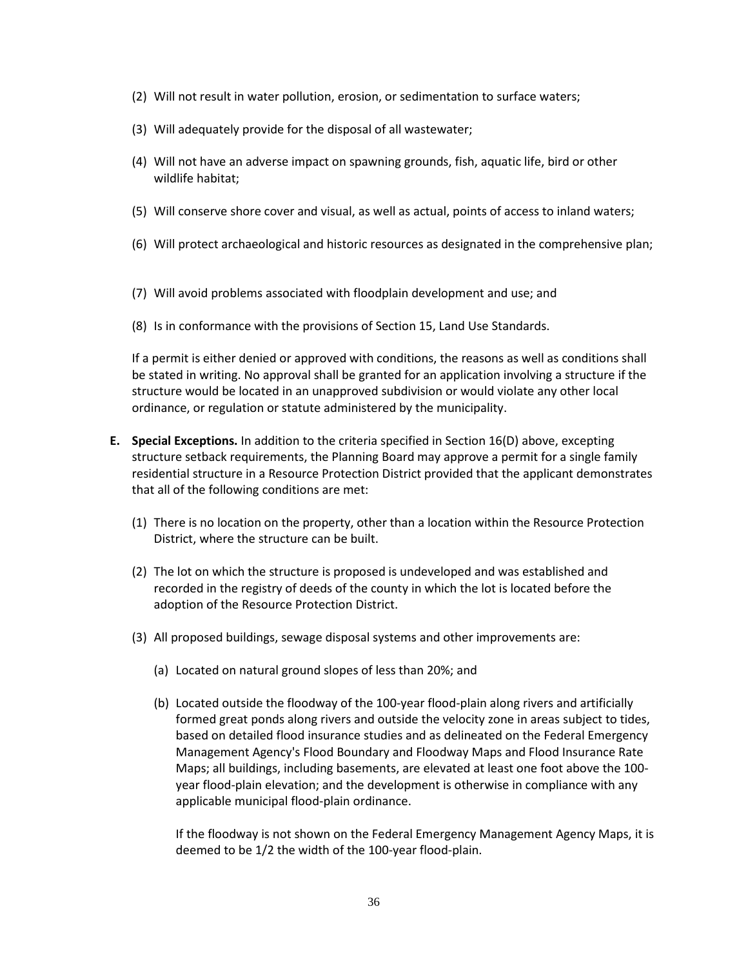- (2) Will not result in water pollution, erosion, or sedimentation to surface waters;
- (3) Will adequately provide for the disposal of all wastewater;
- (4) Will not have an adverse impact on spawning grounds, fish, aquatic life, bird or other wildlife habitat;
- (5) Will conserve shore cover and visual, as well as actual, points of access to inland waters;
- (6) Will protect archaeological and historic resources as designated in the comprehensive plan;
- (7) Will avoid problems associated with floodplain development and use; and
- (8) Is in conformance with the provisions of Section 15, Land Use Standards.

 If a permit is either denied or approved with conditions, the reasons as well as conditions shall be stated in writing. No approval shall be granted for an application involving a structure if the structure would be located in an unapproved subdivision or would violate any other local ordinance, or regulation or statute administered by the municipality.

- **E. Special Exceptions.** In addition to the criteria specified in Section 16(D) above, excepting structure setback requirements, the Planning Board may approve a permit for a single family residential structure in a Resource Protection District provided that the applicant demonstrates that all of the following conditions are met:
	- (1) There is no location on the property, other than a location within the Resource Protection District, where the structure can be built.
	- (2) The lot on which the structure is proposed is undeveloped and was established and recorded in the registry of deeds of the county in which the lot is located before the adoption of the Resource Protection District.
	- (3) All proposed buildings, sewage disposal systems and other improvements are:
		- (a) Located on natural ground slopes of less than 20%; and
		- (b) Located outside the floodway of the 100-year flood-plain along rivers and artificially formed great ponds along rivers and outside the velocity zone in areas subject to tides, based on detailed flood insurance studies and as delineated on the Federal Emergency Management Agency's Flood Boundary and Floodway Maps and Flood Insurance Rate Maps; all buildings, including basements, are elevated at least one foot above the 100 year flood-plain elevation; and the development is otherwise in compliance with any applicable municipal flood-plain ordinance.

 If the floodway is not shown on the Federal Emergency Management Agency Maps, it is deemed to be 1/2 the width of the 100-year flood-plain.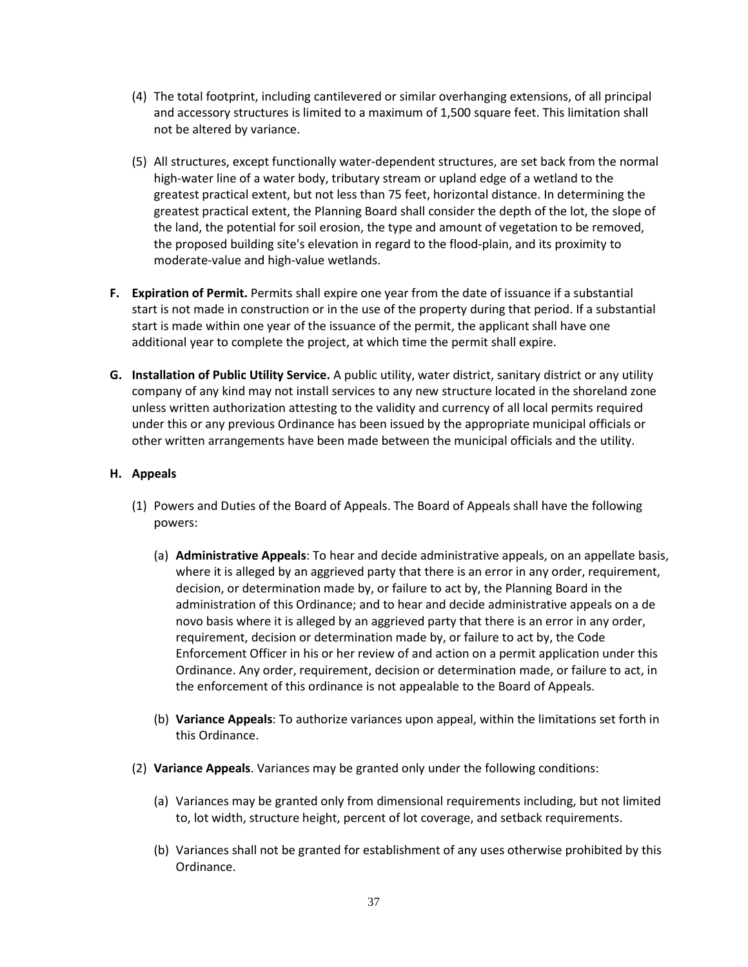- (4) The total footprint, including cantilevered or similar overhanging extensions, of all principal and accessory structures is limited to a maximum of 1,500 square feet. This limitation shall not be altered by variance.
- (5) All structures, except functionally water-dependent structures, are set back from the normal high-water line of a water body, tributary stream or upland edge of a wetland to the greatest practical extent, but not less than 75 feet, horizontal distance. In determining the greatest practical extent, the Planning Board shall consider the depth of the lot, the slope of the land, the potential for soil erosion, the type and amount of vegetation to be removed, the proposed building site's elevation in regard to the flood-plain, and its proximity to moderate-value and high-value wetlands.
- **F. Expiration of Permit.** Permits shall expire one year from the date of issuance if a substantial start is not made in construction or in the use of the property during that period. If a substantial start is made within one year of the issuance of the permit, the applicant shall have one additional year to complete the project, at which time the permit shall expire.
- **G. Installation of Public Utility Service.** A public utility, water district, sanitary district or any utility company of any kind may not install services to any new structure located in the shoreland zone unless written authorization attesting to the validity and currency of all local permits required under this or any previous Ordinance has been issued by the appropriate municipal officials or other written arrangements have been made between the municipal officials and the utility.

# **H. Appeals**

- (1) Powers and Duties of the Board of Appeals. The Board of Appeals shall have the following powers:
	- (a) **Administrative Appeals**: To hear and decide administrative appeals, on an appellate basis, where it is alleged by an aggrieved party that there is an error in any order, requirement, decision, or determination made by, or failure to act by, the Planning Board in the administration of this Ordinance; and to hear and decide administrative appeals on a de novo basis where it is alleged by an aggrieved party that there is an error in any order, requirement, decision or determination made by, or failure to act by, the Code Enforcement Officer in his or her review of and action on a permit application under this Ordinance. Any order, requirement, decision or determination made, or failure to act, in the enforcement of this ordinance is not appealable to the Board of Appeals.
	- (b) **Variance Appeals**: To authorize variances upon appeal, within the limitations set forth in this Ordinance.
- (2) **Variance Appeals**. Variances may be granted only under the following conditions:
	- (a) Variances may be granted only from dimensional requirements including, but not limited to, lot width, structure height, percent of lot coverage, and setback requirements.
	- (b) Variances shall not be granted for establishment of any uses otherwise prohibited by this Ordinance.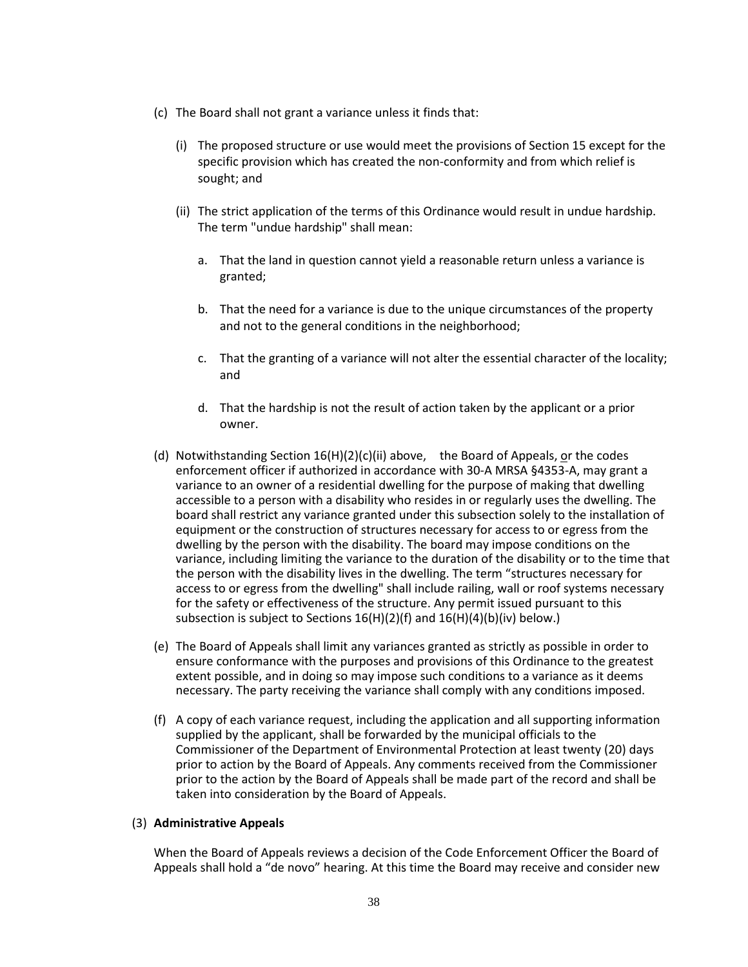- (c) The Board shall not grant a variance unless it finds that:
	- (i) The proposed structure or use would meet the provisions of Section 15 except for the specific provision which has created the non-conformity and from which relief is sought; and
	- (ii) The strict application of the terms of this Ordinance would result in undue hardship. The term "undue hardship" shall mean:
		- a. That the land in question cannot yield a reasonable return unless a variance is granted;
		- b. That the need for a variance is due to the unique circumstances of the property and not to the general conditions in the neighborhood;
		- c. That the granting of a variance will not alter the essential character of the locality; and
		- d. That the hardship is not the result of action taken by the applicant or a prior owner.
- (d) Notwithstanding Section  $16(H)(2)(c)(ii)$  above, the Board of Appeals, or the codes enforcement officer if authorized in accordance with 30-A MRSA §4353-A, may grant a variance to an owner of a residential dwelling for the purpose of making that dwelling accessible to a person with a disability who resides in or regularly uses the dwelling. The board shall restrict any variance granted under this subsection solely to the installation of equipment or the construction of structures necessary for access to or egress from the dwelling by the person with the disability. The board may impose conditions on the variance, including limiting the variance to the duration of the disability or to the time that the person with the disability lives in the dwelling. The term "structures necessary for access to or egress from the dwelling" shall include railing, wall or roof systems necessary for the safety or effectiveness of the structure. Any permit issued pursuant to this subsection is subject to Sections 16(H)(2)(f) and 16(H)(4)(b)(iv) below.)
- (e) The Board of Appeals shall limit any variances granted as strictly as possible in order to ensure conformance with the purposes and provisions of this Ordinance to the greatest extent possible, and in doing so may impose such conditions to a variance as it deems necessary. The party receiving the variance shall comply with any conditions imposed.
- (f) A copy of each variance request, including the application and all supporting information supplied by the applicant, shall be forwarded by the municipal officials to the Commissioner of the Department of Environmental Protection at least twenty (20) days prior to action by the Board of Appeals. Any comments received from the Commissioner prior to the action by the Board of Appeals shall be made part of the record and shall be taken into consideration by the Board of Appeals.

#### (3) **Administrative Appeals**

When the Board of Appeals reviews a decision of the Code Enforcement Officer the Board of Appeals shall hold a "de novo" hearing. At this time the Board may receive and consider new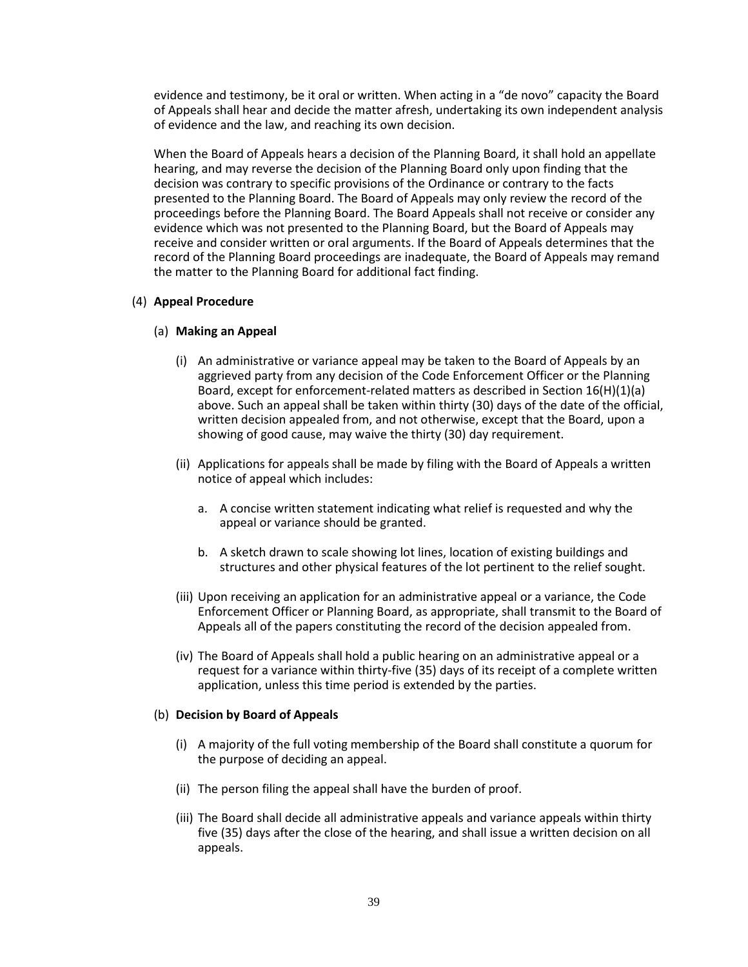evidence and testimony, be it oral or written. When acting in a "de novo" capacity the Board of Appeals shall hear and decide the matter afresh, undertaking its own independent analysis of evidence and the law, and reaching its own decision.

When the Board of Appeals hears a decision of the Planning Board, it shall hold an appellate hearing, and may reverse the decision of the Planning Board only upon finding that the decision was contrary to specific provisions of the Ordinance or contrary to the facts presented to the Planning Board. The Board of Appeals may only review the record of the proceedings before the Planning Board. The Board Appeals shall not receive or consider any evidence which was not presented to the Planning Board, but the Board of Appeals may receive and consider written or oral arguments. If the Board of Appeals determines that the record of the Planning Board proceedings are inadequate, the Board of Appeals may remand the matter to the Planning Board for additional fact finding.

### (4) **Appeal Procedure**

### (a) **Making an Appeal**

- (i) An administrative or variance appeal may be taken to the Board of Appeals by an aggrieved party from any decision of the Code Enforcement Officer or the Planning Board, except for enforcement-related matters as described in Section 16(H)(1)(a) above. Such an appeal shall be taken within thirty (30) days of the date of the official, written decision appealed from, and not otherwise, except that the Board, upon a showing of good cause, may waive the thirty (30) day requirement.
- (ii) Applications for appeals shall be made by filing with the Board of Appeals a written notice of appeal which includes:
	- a. A concise written statement indicating what relief is requested and why the appeal or variance should be granted.
	- b. A sketch drawn to scale showing lot lines, location of existing buildings and structures and other physical features of the lot pertinent to the relief sought.
- (iii) Upon receiving an application for an administrative appeal or a variance, the Code Enforcement Officer or Planning Board, as appropriate, shall transmit to the Board of Appeals all of the papers constituting the record of the decision appealed from.
- (iv) The Board of Appeals shall hold a public hearing on an administrative appeal or a request for a variance within thirty-five (35) days of its receipt of a complete written application, unless this time period is extended by the parties.

#### (b) **Decision by Board of Appeals**

- (i) A majority of the full voting membership of the Board shall constitute a quorum for the purpose of deciding an appeal.
- (ii) The person filing the appeal shall have the burden of proof.
- (iii) The Board shall decide all administrative appeals and variance appeals within thirty five (35) days after the close of the hearing, and shall issue a written decision on all appeals.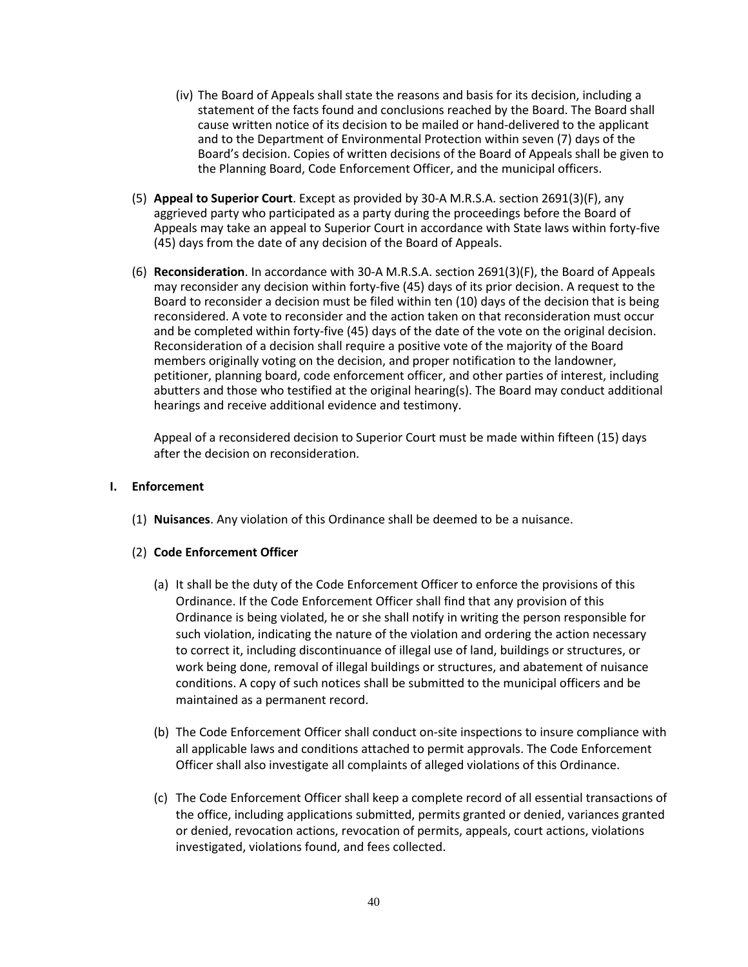- (iv) The Board of Appeals shall state the reasons and basis for its decision, including a statement of the facts found and conclusions reached by the Board. The Board shall cause written notice of its decision to be mailed or hand-delivered to the applicant and to the Department of Environmental Protection within seven (7) days of the Board's decision. Copies of written decisions of the Board of Appeals shall be given to the Planning Board, Code Enforcement Officer, and the municipal officers.
- (5) **Appeal to Superior Court**. Except as provided by 30-A M.R.S.A. section 2691(3)(F), any aggrieved party who participated as a party during the proceedings before the Board of Appeals may take an appeal to Superior Court in accordance with State laws within forty-five (45) days from the date of any decision of the Board of Appeals.
- (6) **Reconsideration**. In accordance with 30-A M.R.S.A. section 2691(3)(F), the Board of Appeals may reconsider any decision within forty-five (45) days of its prior decision. A request to the Board to reconsider a decision must be filed within ten (10) days of the decision that is being reconsidered. A vote to reconsider and the action taken on that reconsideration must occur and be completed within forty-five (45) days of the date of the vote on the original decision. Reconsideration of a decision shall require a positive vote of the majority of the Board members originally voting on the decision, and proper notification to the landowner, petitioner, planning board, code enforcement officer, and other parties of interest, including abutters and those who testified at the original hearing(s). The Board may conduct additional hearings and receive additional evidence and testimony.

Appeal of a reconsidered decision to Superior Court must be made within fifteen (15) days after the decision on reconsideration.

#### **I. Enforcement**

(1) **Nuisances**. Any violation of this Ordinance shall be deemed to be a nuisance.

# (2) **Code Enforcement Officer**

- (a) It shall be the duty of the Code Enforcement Officer to enforce the provisions of this Ordinance. If the Code Enforcement Officer shall find that any provision of this Ordinance is being violated, he or she shall notify in writing the person responsible for such violation, indicating the nature of the violation and ordering the action necessary to correct it, including discontinuance of illegal use of land, buildings or structures, or work being done, removal of illegal buildings or structures, and abatement of nuisance conditions. A copy of such notices shall be submitted to the municipal officers and be maintained as a permanent record.
- (b) The Code Enforcement Officer shall conduct on-site inspections to insure compliance with all applicable laws and conditions attached to permit approvals. The Code Enforcement Officer shall also investigate all complaints of alleged violations of this Ordinance.
- (c) The Code Enforcement Officer shall keep a complete record of all essential transactions of the office, including applications submitted, permits granted or denied, variances granted or denied, revocation actions, revocation of permits, appeals, court actions, violations investigated, violations found, and fees collected.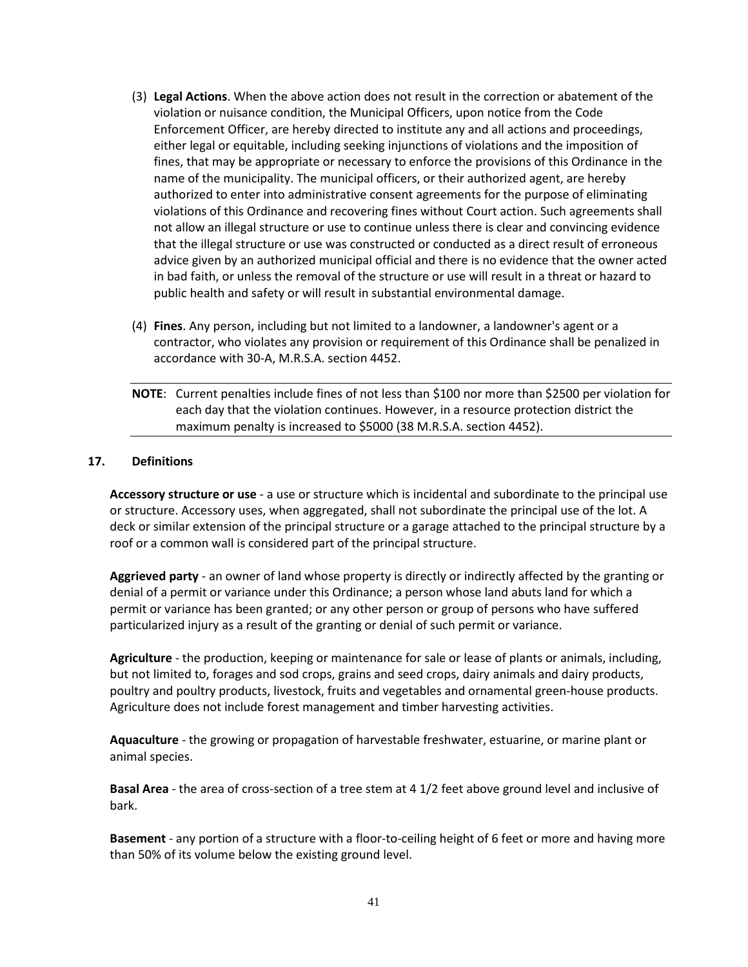- (3) **Legal Actions**. When the above action does not result in the correction or abatement of the violation or nuisance condition, the Municipal Officers, upon notice from the Code Enforcement Officer, are hereby directed to institute any and all actions and proceedings, either legal or equitable, including seeking injunctions of violations and the imposition of fines, that may be appropriate or necessary to enforce the provisions of this Ordinance in the name of the municipality. The municipal officers, or their authorized agent, are hereby authorized to enter into administrative consent agreements for the purpose of eliminating violations of this Ordinance and recovering fines without Court action. Such agreements shall not allow an illegal structure or use to continue unless there is clear and convincing evidence that the illegal structure or use was constructed or conducted as a direct result of erroneous advice given by an authorized municipal official and there is no evidence that the owner acted in bad faith, or unless the removal of the structure or use will result in a threat or hazard to public health and safety or will result in substantial environmental damage.
- (4) **Fines**. Any person, including but not limited to a landowner, a landowner's agent or a contractor, who violates any provision or requirement of this Ordinance shall be penalized in accordance with 30-A, M.R.S.A. section 4452.
- **NOTE**: Current penalties include fines of not less than \$100 nor more than \$2500 per violation for each day that the violation continues. However, in a resource protection district the maximum penalty is increased to \$5000 (38 M.R.S.A. section 4452).

#### **17. Definitions**

**Accessory structure or use** - a use or structure which is incidental and subordinate to the principal use or structure. Accessory uses, when aggregated, shall not subordinate the principal use of the lot. A deck or similar extension of the principal structure or a garage attached to the principal structure by a roof or a common wall is considered part of the principal structure.

 **Aggrieved party** - an owner of land whose property is directly or indirectly affected by the granting or denial of a permit or variance under this Ordinance; a person whose land abuts land for which a permit or variance has been granted; or any other person or group of persons who have suffered particularized injury as a result of the granting or denial of such permit or variance.

**Agriculture** - the production, keeping or maintenance for sale or lease of plants or animals, including, but not limited to, forages and sod crops, grains and seed crops, dairy animals and dairy products, poultry and poultry products, livestock, fruits and vegetables and ornamental green-house products. Agriculture does not include forest management and timber harvesting activities.

 **Aquaculture** - the growing or propagation of harvestable freshwater, estuarine, or marine plant or animal species.

**Basal Area** - the area of cross-section of a tree stem at 4 1/2 feet above ground level and inclusive of bark.

**Basement** - any portion of a structure with a floor-to-ceiling height of 6 feet or more and having more than 50% of its volume below the existing ground level.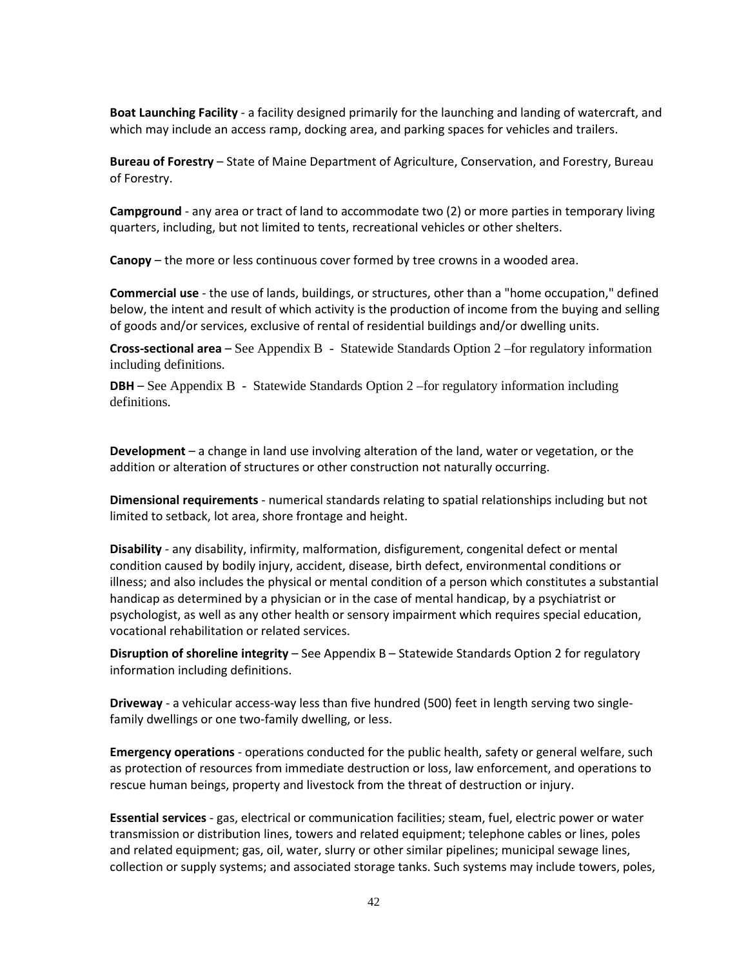**Boat Launching Facility** - a facility designed primarily for the launching and landing of watercraft, and which may include an access ramp, docking area, and parking spaces for vehicles and trailers.

**Bureau of Forestry** – State of Maine Department of Agriculture, Conservation, and Forestry, Bureau of Forestry.

**Campground** - any area or tract of land to accommodate two (2) or more parties in temporary living quarters, including, but not limited to tents, recreational vehicles or other shelters.

**Canopy** – the more or less continuous cover formed by tree crowns in a wooded area.

**Commercial use** - the use of lands, buildings, or structures, other than a "home occupation," defined below, the intent and result of which activity is the production of income from the buying and selling of goods and/or services, exclusive of rental of residential buildings and/or dwelling units.

**Cross-sectional area** – See Appendix B - Statewide Standards Option 2 –for regulatory information including definitions.

**DBH** – See Appendix B – Statewide Standards Option 2 –for regulatory information including definitions.

**Development** – a change in land use involving alteration of the land, water or vegetation, or the addition or alteration of structures or other construction not naturally occurring.

**Dimensional requirements** - numerical standards relating to spatial relationships including but not limited to setback, lot area, shore frontage and height.

 **Disability** - any disability, infirmity, malformation, disfigurement, congenital defect or mental condition caused by bodily injury, accident, disease, birth defect, environmental conditions or illness; and also includes the physical or mental condition of a person which constitutes a substantial handicap as determined by a physician or in the case of mental handicap, by a psychiatrist or psychologist, as well as any other health or sensory impairment which requires special education, vocational rehabilitation or related services.

**Disruption of shoreline integrity** – See Appendix B – Statewide Standards Option 2 for regulatory information including definitions.

 **Driveway** - a vehicular access-way less than five hundred (500) feet in length serving two singlefamily dwellings or one two-family dwelling, or less.

 **Emergency operations** - operations conducted for the public health, safety or general welfare, such as protection of resources from immediate destruction or loss, law enforcement, and operations to rescue human beings, property and livestock from the threat of destruction or injury.

 **Essential services** - gas, electrical or communication facilities; steam, fuel, electric power or water transmission or distribution lines, towers and related equipment; telephone cables or lines, poles and related equipment; gas, oil, water, slurry or other similar pipelines; municipal sewage lines, collection or supply systems; and associated storage tanks. Such systems may include towers, poles,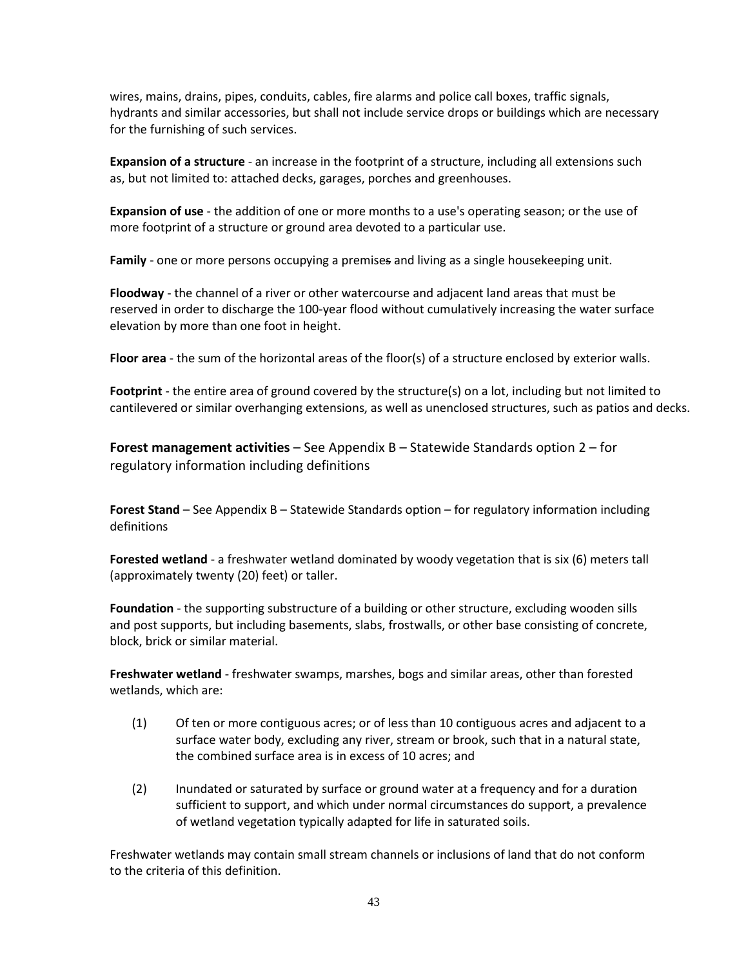wires, mains, drains, pipes, conduits, cables, fire alarms and police call boxes, traffic signals, hydrants and similar accessories, but shall not include service drops or buildings which are necessary for the furnishing of such services.

**Expansion of a structure** - an increase in the footprint of a structure, including all extensions such as, but not limited to: attached decks, garages, porches and greenhouses.

 **Expansion of use** - the addition of one or more months to a use's operating season; or the use of more footprint of a structure or ground area devoted to a particular use.

**Family** - one or more persons occupying a premises and living as a single housekeeping unit.

**Floodway** - the channel of a river or other watercourse and adjacent land areas that must be reserved in order to discharge the 100-year flood without cumulatively increasing the water surface elevation by more than one foot in height.

 **Floor area** - the sum of the horizontal areas of the floor(s) of a structure enclosed by exterior walls.

 **Footprint** - the entire area of ground covered by the structure(s) on a lot, including but not limited to cantilevered or similar overhanging extensions, as well as unenclosed structures, such as patios and decks.

**Forest management activities** – See Appendix B – Statewide Standards option 2 – for regulatory information including definitions

**Forest Stand** – See Appendix B – Statewide Standards option – for regulatory information including definitions

**Forested wetland** - a freshwater wetland dominated by woody vegetation that is six (6) meters tall (approximately twenty (20) feet) or taller.

**Foundation** - the supporting substructure of a building or other structure, excluding wooden sills and post supports, but including basements, slabs, frostwalls, or other base consisting of concrete, block, brick or similar material.

 **Freshwater wetland** - freshwater swamps, marshes, bogs and similar areas, other than forested wetlands, which are:

- (1) Of ten or more contiguous acres; or of less than 10 contiguous acres and adjacent to a surface water body, excluding any river, stream or brook, such that in a natural state, the combined surface area is in excess of 10 acres; and
- (2) Inundated or saturated by surface or ground water at a frequency and for a duration sufficient to support, and which under normal circumstances do support, a prevalence of wetland vegetation typically adapted for life in saturated soils.

 Freshwater wetlands may contain small stream channels or inclusions of land that do not conform to the criteria of this definition.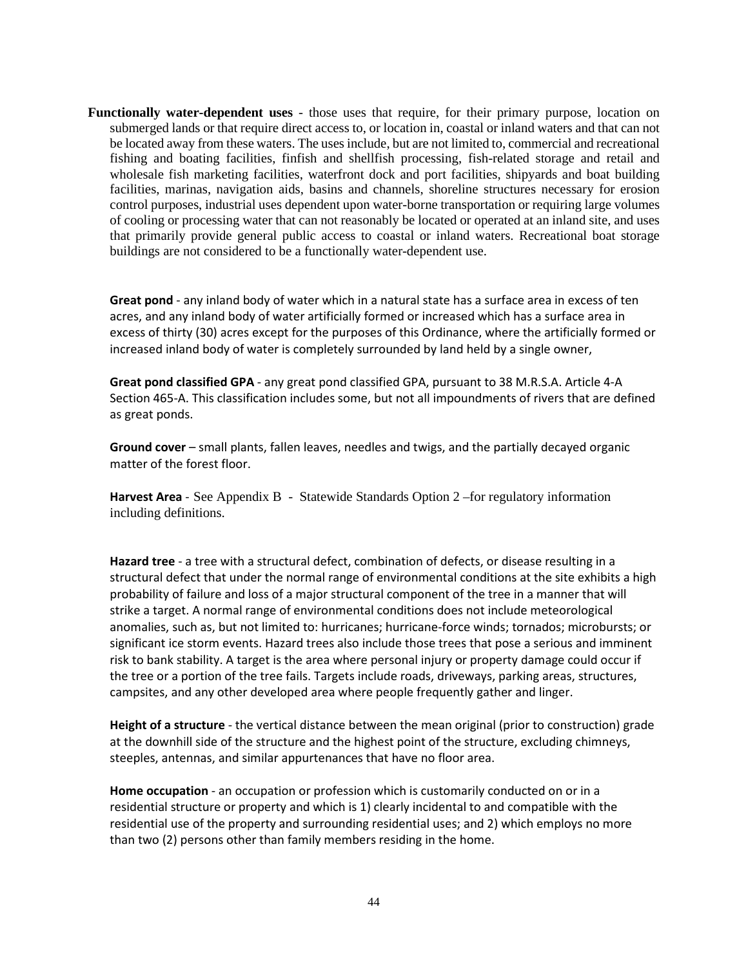**Functionally water-dependent uses** - those uses that require, for their primary purpose, location on submerged lands or that require direct access to, or location in, coastal or inland waters and that can not be located away from these waters. The uses include, but are not limited to, commercial and recreational fishing and boating facilities, finfish and shellfish processing, fish-related storage and retail and wholesale fish marketing facilities, waterfront dock and port facilities, shipyards and boat building facilities, marinas, navigation aids, basins and channels, shoreline structures necessary for erosion control purposes, industrial uses dependent upon water-borne transportation or requiring large volumes of cooling or processing water that can not reasonably be located or operated at an inland site, and uses that primarily provide general public access to coastal or inland waters. Recreational boat storage buildings are not considered to be a functionally water-dependent use.

 **Great pond** - any inland body of water which in a natural state has a surface area in excess of ten acres, and any inland body of water artificially formed or increased which has a surface area in excess of thirty (30) acres except for the purposes of this Ordinance, where the artificially formed or increased inland body of water is completely surrounded by land held by a single owner,

 **Great pond classified GPA** - any great pond classified GPA, pursuant to 38 M.R.S.A. Article 4-A Section 465-A. This classification includes some, but not all impoundments of rivers that are defined as great ponds.

 **Ground cover** – small plants, fallen leaves, needles and twigs, and the partially decayed organic matter of the forest floor.

**Harvest Area** - See Appendix B - Statewide Standards Option 2 –for regulatory information including definitions.

**Hazard tree** - a tree with a structural defect, combination of defects, or disease resulting in a structural defect that under the normal range of environmental conditions at the site exhibits a high probability of failure and loss of a major structural component of the tree in a manner that will strike a target. A normal range of environmental conditions does not include meteorological anomalies, such as, but not limited to: hurricanes; hurricane-force winds; tornados; microbursts; or significant ice storm events. Hazard trees also include those trees that pose a serious and imminent risk to bank stability. A target is the area where personal injury or property damage could occur if the tree or a portion of the tree fails. Targets include roads, driveways, parking areas, structures, campsites, and any other developed area where people frequently gather and linger.

 **Height of a structure** - the vertical distance between the mean original (prior to construction) grade at the downhill side of the structure and the highest point of the structure, excluding chimneys, steeples, antennas, and similar appurtenances that have no floor area.

**Home occupation** - an occupation or profession which is customarily conducted on or in a residential structure or property and which is 1) clearly incidental to and compatible with the residential use of the property and surrounding residential uses; and 2) which employs no more than two (2) persons other than family members residing in the home.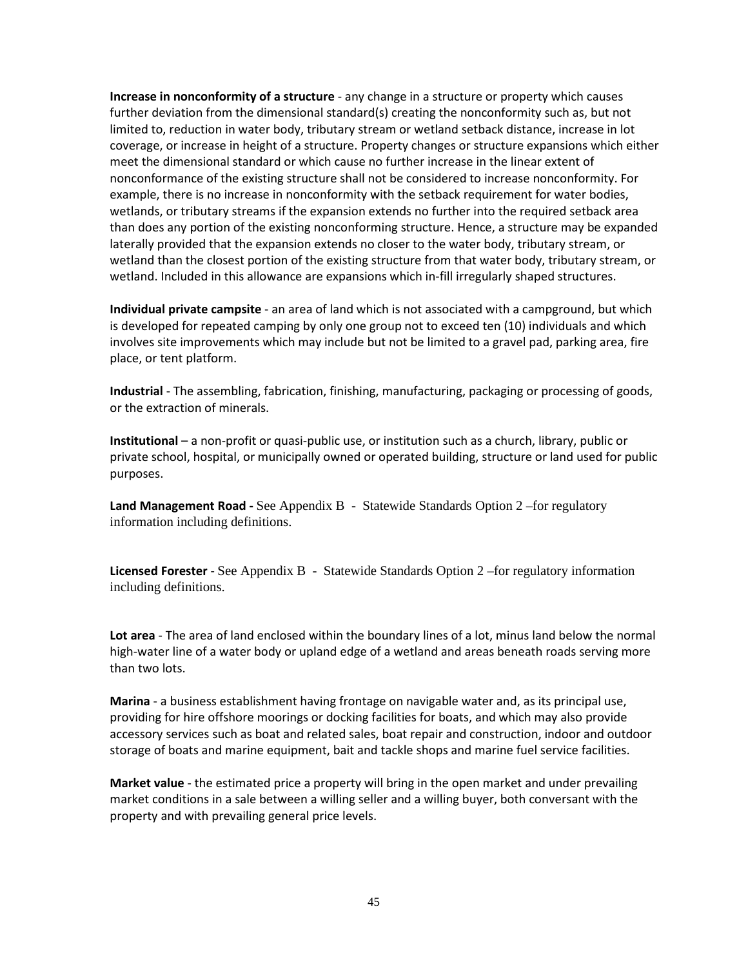**Increase in nonconformity of a structure** - any change in a structure or property which causes further deviation from the dimensional standard(s) creating the nonconformity such as, but not limited to, reduction in water body, tributary stream or wetland setback distance, increase in lot coverage, or increase in height of a structure. Property changes or structure expansions which either meet the dimensional standard or which cause no further increase in the linear extent of nonconformance of the existing structure shall not be considered to increase nonconformity. For example, there is no increase in nonconformity with the setback requirement for water bodies, wetlands, or tributary streams if the expansion extends no further into the required setback area than does any portion of the existing nonconforming structure. Hence, a structure may be expanded laterally provided that the expansion extends no closer to the water body, tributary stream, or wetland than the closest portion of the existing structure from that water body, tributary stream, or wetland. Included in this allowance are expansions which in-fill irregularly shaped structures.

**Individual private campsite** - an area of land which is not associated with a campground, but which is developed for repeated camping by only one group not to exceed ten (10) individuals and which involves site improvements which may include but not be limited to a gravel pad, parking area, fire place, or tent platform.

 **Industrial** - The assembling, fabrication, finishing, manufacturing, packaging or processing of goods, or the extraction of minerals.

**Institutional** – a non-profit or quasi-public use, or institution such as a church, library, public or private school, hospital, or municipally owned or operated building, structure or land used for public purposes.

**Land Management Road -** See Appendix B - Statewide Standards Option 2 –for regulatory information including definitions.

**Licensed Forester** - See Appendix B - Statewide Standards Option 2 –for regulatory information including definitions.

**Lot area** - The area of land enclosed within the boundary lines of a lot, minus land below the normal high-water line of a water body or upland edge of a wetland and areas beneath roads serving more than two lots.

**Marina** - a business establishment having frontage on navigable water and, as its principal use, providing for hire offshore moorings or docking facilities for boats, and which may also provide accessory services such as boat and related sales, boat repair and construction, indoor and outdoor storage of boats and marine equipment, bait and tackle shops and marine fuel service facilities.

**Market value** - the estimated price a property will bring in the open market and under prevailing market conditions in a sale between a willing seller and a willing buyer, both conversant with the property and with prevailing general price levels.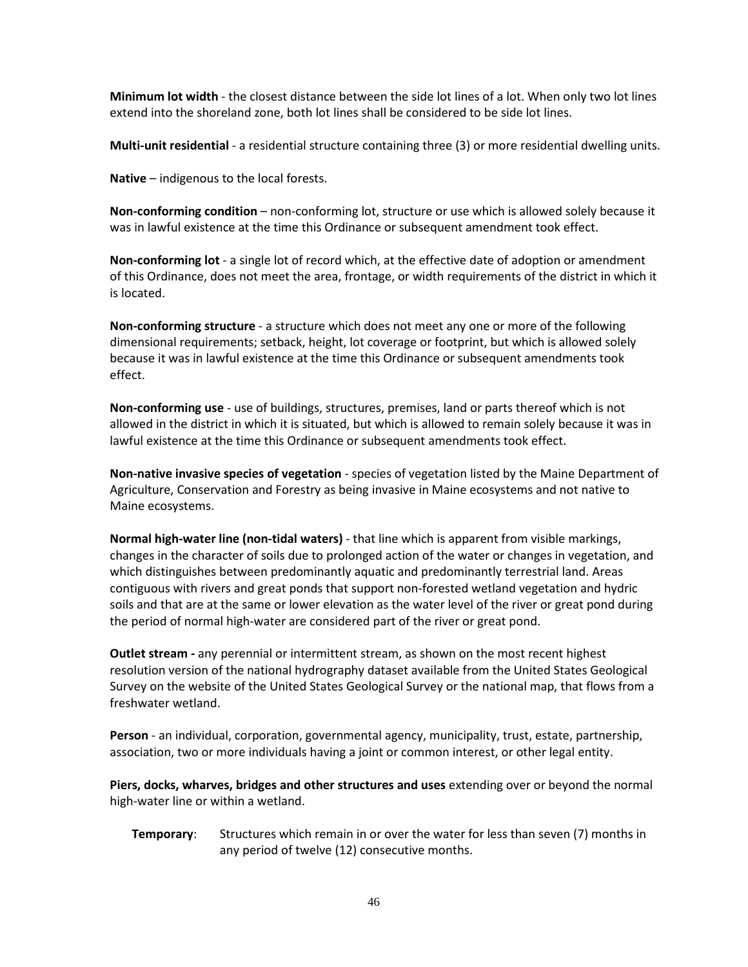**Minimum lot width** - the closest distance between the side lot lines of a lot. When only two lot lines extend into the shoreland zone, both lot lines shall be considered to be side lot lines.

**Multi-unit residential** - a residential structure containing three (3) or more residential dwelling units.

**Native** – indigenous to the local forests.

**Non-conforming condition** – non-conforming lot, structure or use which is allowed solely because it was in lawful existence at the time this Ordinance or subsequent amendment took effect.

**Non-conforming lot** - a single lot of record which, at the effective date of adoption or amendment of this Ordinance, does not meet the area, frontage, or width requirements of the district in which it is located.

**Non-conforming structure** - a structure which does not meet any one or more of the following dimensional requirements; setback, height, lot coverage or footprint, but which is allowed solely because it was in lawful existence at the time this Ordinance or subsequent amendments took effect.

**Non-conforming use** - use of buildings, structures, premises, land or parts thereof which is not allowed in the district in which it is situated, but which is allowed to remain solely because it was in lawful existence at the time this Ordinance or subsequent amendments took effect.

**Non-native invasive species of vegetation** - species of vegetation listed by the Maine Department of Agriculture, Conservation and Forestry as being invasive in Maine ecosystems and not native to Maine ecosystems.

**Normal high-water line (non-tidal waters)** - that line which is apparent from visible markings, changes in the character of soils due to prolonged action of the water or changes in vegetation, and which distinguishes between predominantly aquatic and predominantly terrestrial land. Areas contiguous with rivers and great ponds that support non-forested wetland vegetation and hydric soils and that are at the same or lower elevation as the water level of the river or great pond during the period of normal high-water are considered part of the river or great pond.

**Outlet stream -** any perennial or intermittent stream, as shown on the most recent highest resolution version of the national hydrography dataset available from the United States Geological Survey on the website of the United States Geological Survey or the national map, that flows from a freshwater wetland.

**Person** - an individual, corporation, governmental agency, municipality, trust, estate, partnership, association, two or more individuals having a joint or common interest, or other legal entity.

**Piers, docks, wharves, bridges and other structures and uses** extending over or beyond the normal high-water line or within a wetland.

**Temporary**: Structures which remain in or over the water for less than seven (7) months in any period of twelve (12) consecutive months.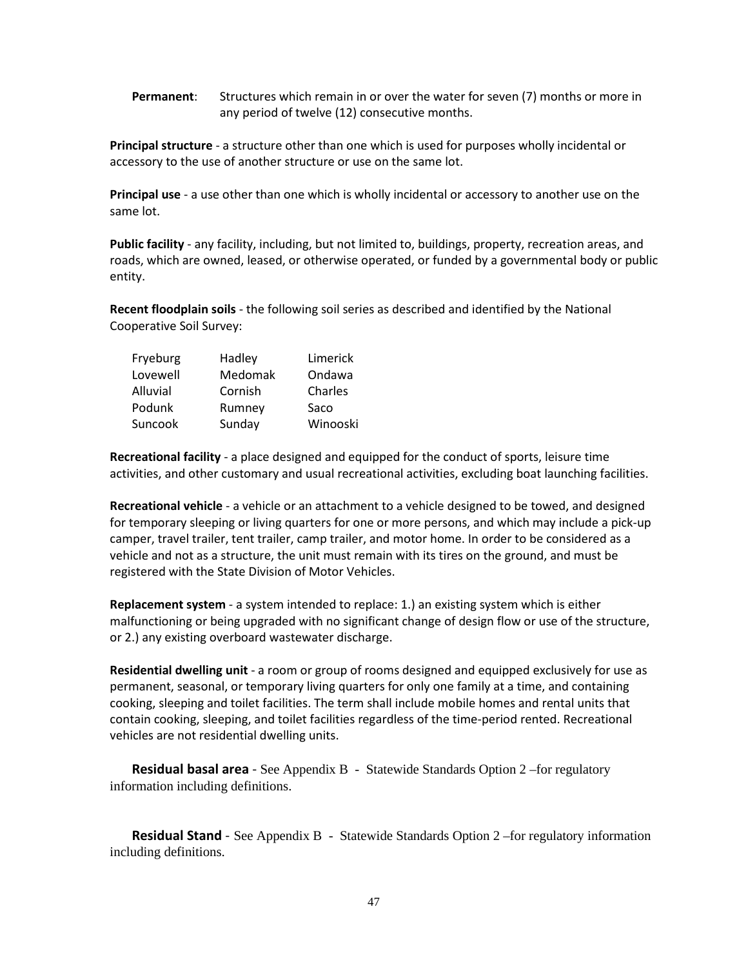**Permanent**: Structures which remain in or over the water for seven (7) months or more in any period of twelve (12) consecutive months.

**Principal structure** - a structure other than one which is used for purposes wholly incidental or accessory to the use of another structure or use on the same lot.

**Principal use** - a use other than one which is wholly incidental or accessory to another use on the same lot.

**Public facility** - any facility, including, but not limited to, buildings, property, recreation areas, and roads, which are owned, leased, or otherwise operated, or funded by a governmental body or public entity.

**Recent floodplain soils** - the following soil series as described and identified by the National Cooperative Soil Survey:

| Fryeburg | Hadley  | Limerick |
|----------|---------|----------|
| Lovewell | Medomak | Ondawa   |
| Alluvial | Cornish | Charles  |
| Podunk   | Rumney  | Saco     |
| Suncook  | Sunday  | Winooski |

 **Recreational facility** - a place designed and equipped for the conduct of sports, leisure time activities, and other customary and usual recreational activities, excluding boat launching facilities.

**Recreational vehicle** - a vehicle or an attachment to a vehicle designed to be towed, and designed for temporary sleeping or living quarters for one or more persons, and which may include a pick-up camper, travel trailer, tent trailer, camp trailer, and motor home. In order to be considered as a vehicle and not as a structure, the unit must remain with its tires on the ground, and must be registered with the State Division of Motor Vehicles.

**Replacement system** - a system intended to replace: 1.) an existing system which is either malfunctioning or being upgraded with no significant change of design flow or use of the structure, or 2.) any existing overboard wastewater discharge.

**Residential dwelling unit** - a room or group of rooms designed and equipped exclusively for use as permanent, seasonal, or temporary living quarters for only one family at a time, and containing cooking, sleeping and toilet facilities. The term shall include mobile homes and rental units that contain cooking, sleeping, and toilet facilities regardless of the time-period rented. Recreational vehicles are not residential dwelling units.

**Residual basal area** - See Appendix B - Statewide Standards Option 2 –for regulatory information including definitions.

**Residual Stand** - See Appendix B - Statewide Standards Option 2 –for regulatory information including definitions.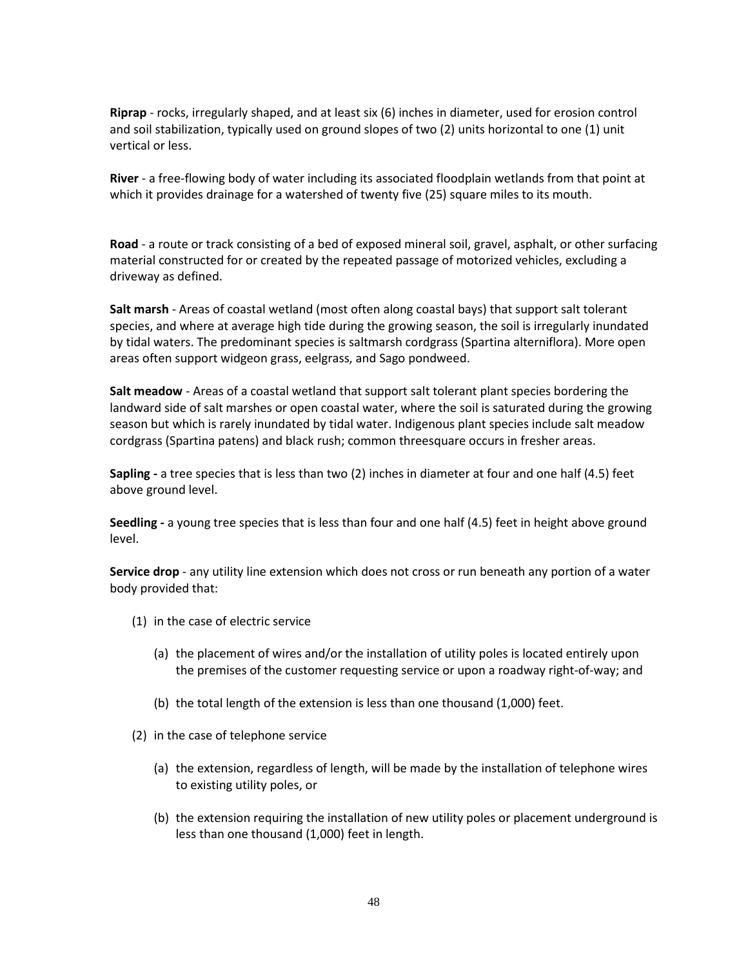**Riprap** - rocks, irregularly shaped, and at least six (6) inches in diameter, used for erosion control and soil stabilization, typically used on ground slopes of two (2) units horizontal to one (1) unit vertical or less.

**River** - a free-flowing body of water including its associated floodplain wetlands from that point at which it provides drainage for a watershed of twenty five (25) square miles to its mouth.

 **Road** - a route or track consisting of a bed of exposed mineral soil, gravel, asphalt, or other surfacing material constructed for or created by the repeated passage of motorized vehicles, excluding a driveway as defined.

**Salt marsh** - Areas of coastal wetland (most often along coastal bays) that support salt tolerant species, and where at average high tide during the growing season, the soil is irregularly inundated by tidal waters. The predominant species is saltmarsh cordgrass (Spartina alterniflora). More open areas often support widgeon grass, eelgrass, and Sago pondweed.

**Salt meadow** - Areas of a coastal wetland that support salt tolerant plant species bordering the landward side of salt marshes or open coastal water, where the soil is saturated during the growing season but which is rarely inundated by tidal water. Indigenous plant species include salt meadow cordgrass (Spartina patens) and black rush; common threesquare occurs in fresher areas.

**Sapling -** a tree species that is less than two (2) inches in diameter at four and one half (4.5) feet above ground level.

**Seedling -** a young tree species that is less than four and one half (4.5) feet in height above ground level.

**Service drop** - any utility line extension which does not cross or run beneath any portion of a water body provided that:

- (1) in the case of electric service
	- (a) the placement of wires and/or the installation of utility poles is located entirely upon the premises of the customer requesting service or upon a roadway right-of-way; and
	- (b) the total length of the extension is less than one thousand (1,000) feet.
- (2) in the case of telephone service
	- (a) the extension, regardless of length, will be made by the installation of telephone wires to existing utility poles, or
	- (b) the extension requiring the installation of new utility poles or placement underground is less than one thousand (1,000) feet in length.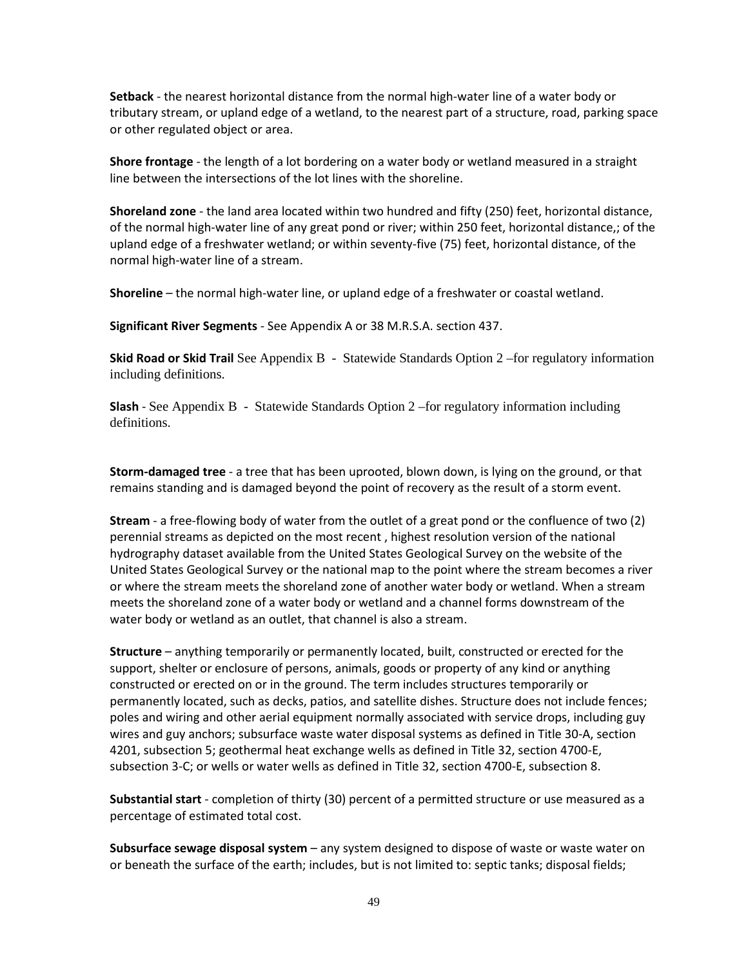**Setback** - the nearest horizontal distance from the normal high-water line of a water body or tributary stream, or upland edge of a wetland, to the nearest part of a structure, road, parking space or other regulated object or area.

 **Shore frontage** - the length of a lot bordering on a water body or wetland measured in a straight line between the intersections of the lot lines with the shoreline.

 **Shoreland zone** - the land area located within two hundred and fifty (250) feet, horizontal distance, of the normal high-water line of any great pond or river; within 250 feet, horizontal distance,; of the upland edge of a freshwater wetland; or within seventy-five (75) feet, horizontal distance, of the normal high-water line of a stream.

**Shoreline** – the normal high-water line, or upland edge of a freshwater or coastal wetland.

 **Significant River Segments** - See Appendix A or 38 M.R.S.A. section 437.

**Skid Road or Skid Trail** See Appendix B - Statewide Standards Option 2 –for regulatory information including definitions.

**Slash** - See Appendix B - Statewide Standards Option 2 –for regulatory information including definitions.

**Storm-damaged tree** - a tree that has been uprooted, blown down, is lying on the ground, or that remains standing and is damaged beyond the point of recovery as the result of a storm event.

 **Stream** - a free-flowing body of water from the outlet of a great pond or the confluence of two (2) perennial streams as depicted on the most recent , highest resolution version of the national hydrography dataset available from the United States Geological Survey on the website of the United States Geological Survey or the national map to the point where the stream becomes a river or where the stream meets the shoreland zone of another water body or wetland. When a stream meets the shoreland zone of a water body or wetland and a channel forms downstream of the water body or wetland as an outlet, that channel is also a stream.

**Structure** – anything temporarily or permanently located, built, constructed or erected for the support, shelter or enclosure of persons, animals, goods or property of any kind or anything constructed or erected on or in the ground. The term includes structures temporarily or permanently located, such as decks, patios, and satellite dishes. Structure does not include fences; poles and wiring and other aerial equipment normally associated with service drops, including guy wires and guy anchors; subsurface waste water disposal systems as defined in Title 30-A, section 4201, subsection 5; geothermal heat exchange wells as defined in Title 32, section 4700-E, subsection 3-C; or wells or water wells as defined in Title 32, section 4700-E, subsection 8.

**Substantial start** - completion of thirty (30) percent of a permitted structure or use measured as a percentage of estimated total cost.

 **Subsurface sewage disposal system** – any system designed to dispose of waste or waste water on or beneath the surface of the earth; includes, but is not limited to: septic tanks; disposal fields;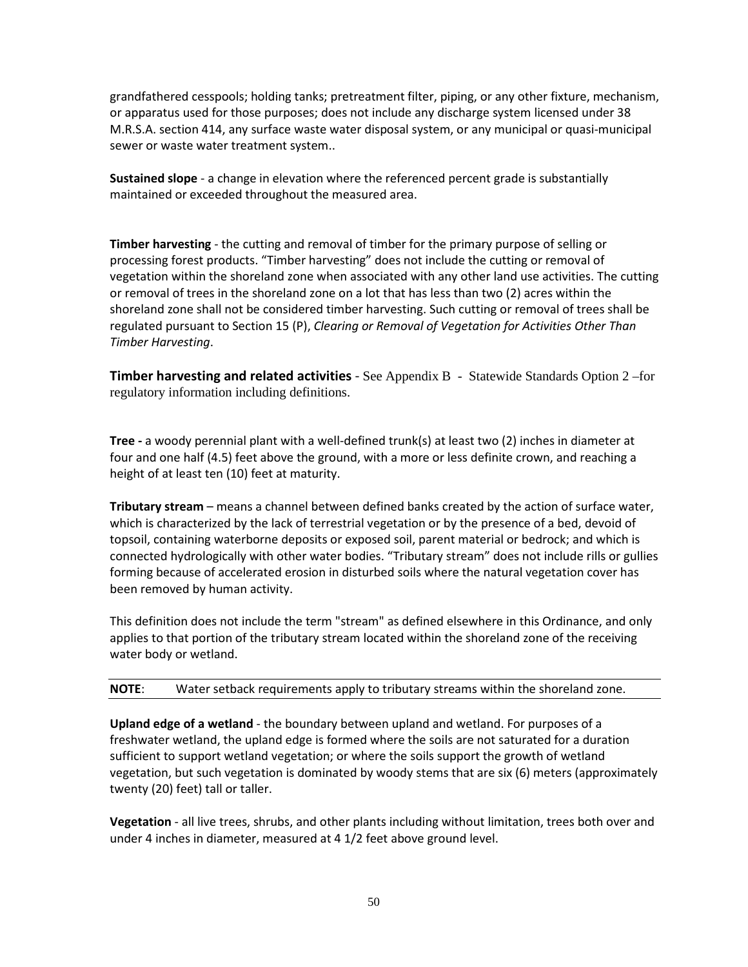grandfathered cesspools; holding tanks; pretreatment filter, piping, or any other fixture, mechanism, or apparatus used for those purposes; does not include any discharge system licensed under 38 M.R.S.A. section 414, any surface waste water disposal system, or any municipal or quasi-municipal sewer or waste water treatment system..

 **Sustained slope** - a change in elevation where the referenced percent grade is substantially maintained or exceeded throughout the measured area.

 **Timber harvesting** - the cutting and removal of timber for the primary purpose of selling or processing forest products. "Timber harvesting" does not include the cutting or removal of vegetation within the shoreland zone when associated with any other land use activities. The cutting or removal of trees in the shoreland zone on a lot that has less than two (2) acres within the shoreland zone shall not be considered timber harvesting. Such cutting or removal of trees shall be regulated pursuant to Section 15 (P), *Clearing or Removal of Vegetation for Activities Other Than Timber Harvesting*.

**Timber harvesting and related activities** - See Appendix B - Statewide Standards Option 2 –for regulatory information including definitions.

**Tree -** a woody perennial plant with a well-defined trunk(s) at least two (2) inches in diameter at four and one half (4.5) feet above the ground, with a more or less definite crown, and reaching a height of at least ten (10) feet at maturity.

 **Tributary stream** – means a channel between defined banks created by the action of surface water, which is characterized by the lack of terrestrial vegetation or by the presence of a bed, devoid of topsoil, containing waterborne deposits or exposed soil, parent material or bedrock; and which is connected hydrologically with other water bodies. "Tributary stream" does not include rills or gullies forming because of accelerated erosion in disturbed soils where the natural vegetation cover has been removed by human activity.

This definition does not include the term "stream" as defined elsewhere in this Ordinance, and only applies to that portion of the tributary stream located within the shoreland zone of the receiving water body or wetland.

# **NOTE**: Water setback requirements apply to tributary streams within the shoreland zone.

 **Upland edge of a wetland** - the boundary between upland and wetland. For purposes of a freshwater wetland, the upland edge is formed where the soils are not saturated for a duration sufficient to support wetland vegetation; or where the soils support the growth of wetland vegetation, but such vegetation is dominated by woody stems that are six (6) meters (approximately twenty (20) feet) tall or taller.

**Vegetation** - all live trees, shrubs, and other plants including without limitation, trees both over and under 4 inches in diameter, measured at 4 1/2 feet above ground level.